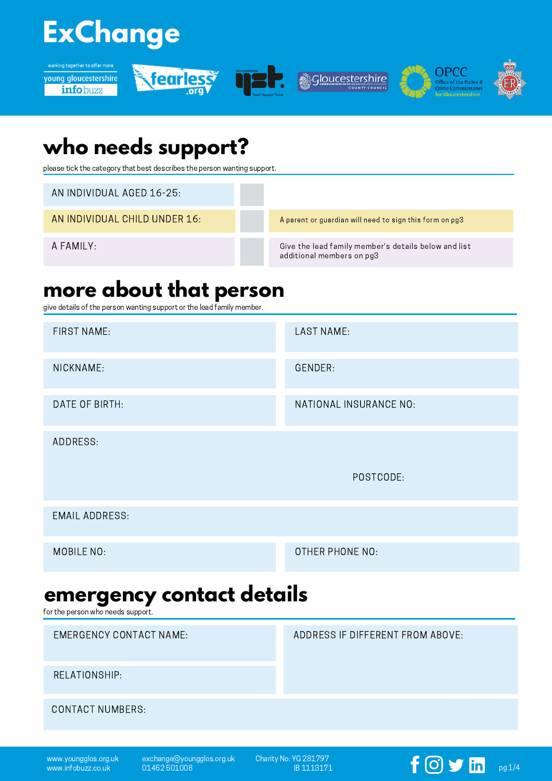# **ExChange**













## **who needs support?**

please tick the category that best describes the person wanting support.

AN INDIVIDUAL AGED 16-25:

AN INDIVIDUAL CHILD UNDER 16:

A FAMILY:

A parent or guardian will need to sign this form on pg3

Give the lead family member's details below and list additional members on pg3

### **more about that person**

give details of the person wanting support or the lead family member.

| <b>LAST NAME:</b>                |
|----------------------------------|
| GENDER:                          |
| NATIONAL INSURANCE NO:           |
|                                  |
| POSTCODE:                        |
|                                  |
| OTHER PHONE NO:                  |
| emergency contact details        |
| ADDRESS IF DIFFERENT FROM ABOVE: |
|                                  |
|                                  |
|                                  |

www.youngglos.org.uk www.infobuzz.co.uk

exchange@youngglos.org.uk 01452 501008

Charity No: YG 281797  $\frac{1}{18}$  1113171 **pg** 1/4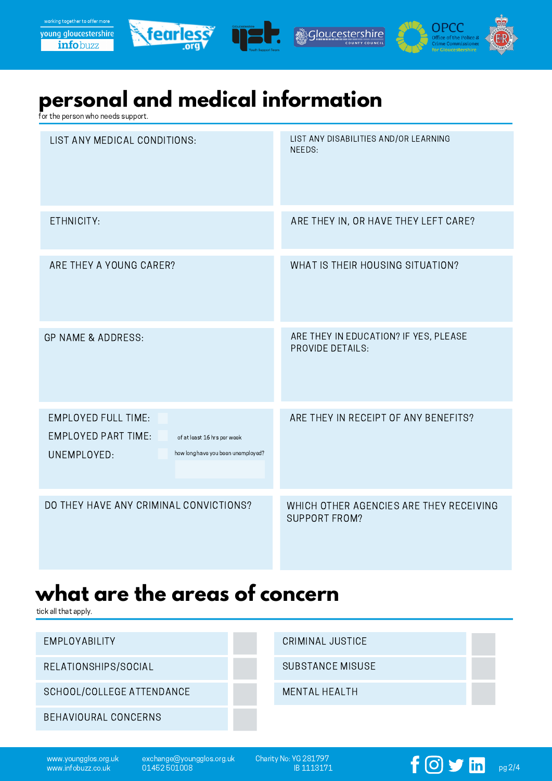





### **personal and medical information**

for the person who needs support.

| LIST ANY MEDICAL CONDITIONS:                                                                                                                 | LIST ANY DISABILITIES AND/OR LEARNING<br>NEEDS:                  |
|----------------------------------------------------------------------------------------------------------------------------------------------|------------------------------------------------------------------|
| ETHNICITY:                                                                                                                                   | ARE THEY IN, OR HAVE THEY LEFT CARE?                             |
| ARE THEY A YOUNG CARER?                                                                                                                      | WHAT IS THEIR HOUSING SITUATION?                                 |
| <b>GP NAME &amp; ADDRESS:</b>                                                                                                                | ARE THEY IN EDUCATION? IF YES, PLEASE<br><b>PROVIDE DETAILS:</b> |
| <b>EMPLOYED FULL TIME:</b><br><b>EMPLOYED PART TIME:</b><br>of at least 16 hrs per week<br>how long have you been unemployed?<br>UNEMPLOYED: | ARE THEY IN RECEIPT OF ANY BENEFITS?                             |
| DO THEY HAVE ANY CRIMINAL CONVICTIONS?                                                                                                       | WHICH OTHER AGENCIES ARE THEY RECEIVING<br><b>SUPPORT FROM?</b>  |

### **what are the areas of concern**

tick all that apply.

| EMPLOYABILITY             | CRIMINAL JUSTICE     |  |
|---------------------------|----------------------|--|
| RELATIONSHIPS/SOCIAL      | SUBSTANCE MISUSE     |  |
| SCHOOL/COLLEGE ATTENDANCE | <b>MENTAL HEALTH</b> |  |
| BEHAVIOURAL CONCERNS      |                      |  |
|                           |                      |  |

www.youngglos.org.uk www.infobuzz.co.uk

exchange@youngglos.org.uk 01452 501008

Charity No: YG 281797

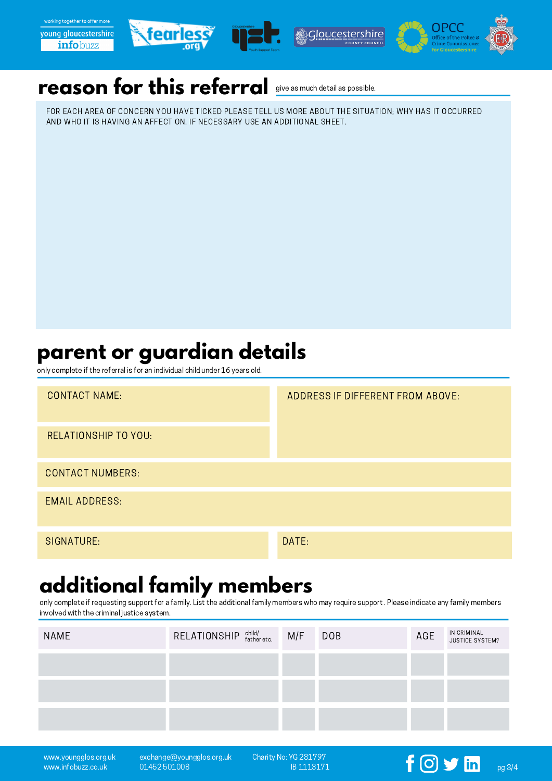







#### **reason for this referral** give as much detail as possible.

FOR EACH AREA OF CONCERN YOU HAVE TICKED PLEASE TELL US MORE ABOUT THE SITUATION; WHY HAS IT OCCURRED AND WHO IT IS HAVING AN AFFECT ON. IF NECESSARY USE AN ADDITIONAL SHEET.

# **parent or guardian details**

only complete if the referral is for an individual child under 16 years old.

| <b>CONTACT NAME:</b>        | ADDRESS IF DIFFERENT FROM ABOVE: |
|-----------------------------|----------------------------------|
| <b>RELATIONSHIP TO YOU:</b> |                                  |
| <b>CONTACT NUMBERS:</b>     |                                  |
| <b>EMAIL ADDRESS:</b>       |                                  |
| SIGNATURE:                  | DATE:                            |

# **additional family members**

only complete if requesting support for a family. List the additional family members who may require support .Please indicate any family members involved with the criminal justice system.

| <b>NAME</b> | RELATIONSHIP child/<br>father etc. | M/F | <b>DOB</b> | AGE | IN CRIMINAL<br>JUSTICE SYSTEM? |
|-------------|------------------------------------|-----|------------|-----|--------------------------------|
|             |                                    |     |            |     |                                |
|             |                                    |     |            |     |                                |
|             |                                    |     |            |     |                                |
|             |                                    |     |            |     |                                |

www.youngglos.org.uk www.infobuzz.co.uk

exchange@youngglos.org.uk 01452 501008

Charity No: YG 281797